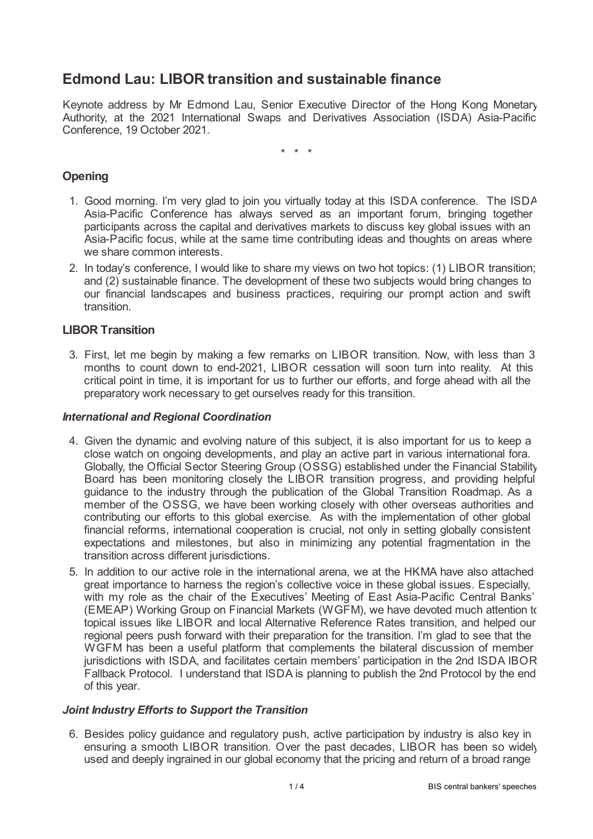# **Edmond Lau: LIBOR transition and sustainable finance**

Keynote address by Mr Edmond Lau, Senior Executive Director of the Hong Kong Monetary Authority, at the 2021 International Swaps and Derivatives Association (ISDA) Asia-Pacific Conference, 19 October 2021.

\* \* \*

# **Opening**

- 1. Good morning. I'm very glad to join you virtually today at this ISDA conference. The ISDA Asia-Pacific Conference has always served as an important forum, bringing together participants across the capital and derivatives markets to discuss key global issues with an Asia-Pacific focus, while at the same time contributing ideas and thoughts on areas where we share common interests.
- 2. In today's conference, I would like to share my views on two hot topics: (1) LIBOR transition; and (2) sustainable finance. The development of these two subjects would bring changes to our financial landscapes and business practices, requiring our prompt action and swift transition.

## **LIBOR Transition**

3. First, let me begin by making a few remarks on LIBOR transition. Now, with less than 3 months to count down to end-2021, LIBOR cessation will soon turn into reality. At this critical point in time, it is important for us to further our efforts, and forge ahead with all the preparatory work necessary to get ourselves ready for this transition.

#### *International and Regional Coordination*

- 4. Given the dynamic and evolving nature of this subject, it is also important for us to keep a close watch on ongoing developments, and play an active part in various international fora. Globally, the Official Sector Steering Group (OSSG) established under the Financial Stability Board has been monitoring closely the LIBOR transition progress, and providing helpful guidance to the industry through the publication of the Global Transition Roadmap. As a member of the OSSG, we have been working closely with other overseas authorities and contributing our efforts to this global exercise. As with the implementation of other global financial reforms, international cooperation is crucial, not only in setting globally consistent expectations and milestones, but also in minimizing any potential fragmentation in the transition across different jurisdictions.
- 5. In addition to our active role in the international arena, we at the HKMA have also attached great importance to harness the region's collective voice in these global issues. Especially, with my role as the chair of the Executives' Meeting of East Asia-Pacific Central Banks' (EMEAP) Working Group on Financial Markets (WGFM), we have devoted much attention to topical issues like LIBOR and local Alternative Reference Rates transition, and helped our regional peers push forward with their preparation for the transition. I'm glad to see that the WGFM has been a useful platform that complements the bilateral discussion of member jurisdictions with ISDA, and facilitates certain members' participation in the 2nd ISDA IBOR Fallback Protocol. I understand that ISDA is planning to publish the 2nd Protocol by the end of this year.

#### *Joint Industry Efforts to Support the Transition*

6. Besides policy guidance and regulatory push, active participation by industry is also key in ensuring a smooth LIBOR transition. Over the past decades, LIBOR has been so widely used and deeply ingrained in our global economy that the pricing and return of a broad range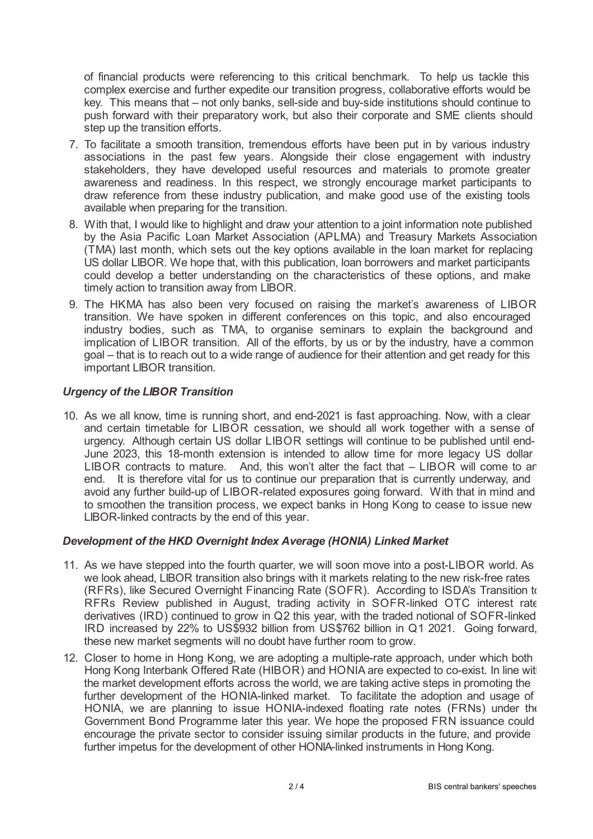of financial products were referencing to this critical benchmark. To help us tackle this complex exercise and further expedite our transition progress, collaborative efforts would be key. This means that – not only banks, sell-side and buy-side institutions should continue to push forward with their preparatory work, but also their corporate and SME clients should step up the transition efforts.

- 7. To facilitate a smooth transition, tremendous efforts have been put in by various industry associations in the past few years. Alongside their close engagement with industry stakeholders, they have developed useful resources and materials to promote greater awareness and readiness. In this respect, we strongly encourage market participants to draw reference from these industry publication, and make good use of the existing tools available when preparing for the transition.
- 8. With that, I would like to highlight and draw your attention to a joint information note published by the Asia Pacific Loan Market Association (APLMA) and Treasury Markets Association (TMA) last month, which sets out the key options available in the loan market for replacing US dollar LIBOR. We hope that, with this publication, loan borrowers and market participants could develop a better understanding on the characteristics of these options, and make timely action to transition away from LIBOR.
- 9. The HKMA has also been very focused on raising the market's awareness of LIBOR transition. We have spoken in different conferences on this topic, and also encouraged industry bodies, such as TMA, to organise seminars to explain the background and implication of LIBOR transition. All of the efforts, by us or by the industry, have a common goal – that is to reach out to a wide range of audience for their attention and get ready for this important LIBOR transition.

## *Urgency of the LIBOR Transition*

10. As we all know, time is running short, and end-2021 is fast approaching. Now, with a clear and certain timetable for LIBOR cessation, we should all work together with a sense of urgency. Although certain US dollar LIBOR settings will continue to be published until end-June 2023, this 18-month extension is intended to allow time for more legacy US dollar LIBOR contracts to mature. And, this won't alter the fact that – LIBOR will come to an end. It is therefore vital for us to continue our preparation that is currently underway, and avoid any further build-up of LIBOR-related exposures going forward. With that in mind and to smoothen the transition process, we expect banks in Hong Kong to cease to issue new LIBOR-linked contracts by the end of this year.

## *Development of the HKD Overnight Index Average (HONIA) Linked Market*

- 11. As we have stepped into the fourth quarter, we will soon move into a post-LIBOR world. As we look ahead, LIBOR transition also brings with it markets relating to the new risk-free rates (RFRs), like Secured Overnight Financing Rate (SOFR). According to ISDA's Transition to RFRs Review published in August, trading activity in SOFR-linked OTC interest rate derivatives (IRD) continued to grow in Q2 this year, with the traded notional of SOFR-linked IRD increased by 22% to US\$932 billion from US\$762 billion in Q1 2021. Going forward, these new market segments will no doubt have further room to grow.
- 12. Closer to home in Hong Kong, we are adopting a multiple-rate approach, under which both Hong Kong Interbank Offered Rate (HIBOR) and HONIA are expected to co-exist. In line with the market development efforts across the world, we are taking active steps in promoting the further development of the HONIA-linked market. To facilitate the adoption and usage of HONIA, we are planning to issue HONIA-indexed floating rate notes (FRNs) under the Government Bond Programme later this year. We hope the proposed FRN issuance could encourage the private sector to consider issuing similar products in the future, and provide further impetus for the development of other HONIA-linked instruments in Hong Kong.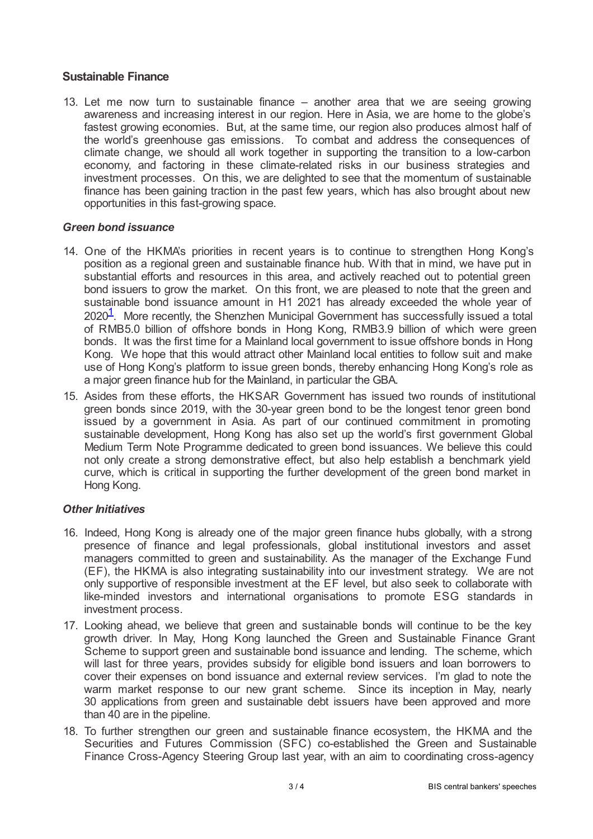## **Sustainable Finance**

13. Let me now turn to sustainable finance – another area that we are seeing growing awareness and increasing interest in our region. Here in Asia, we are home to the globe's fastest growing economies. But, at the same time, our region also produces almost half of the world's greenhouse gas emissions. To combat and address the consequences of climate change, we should all work together in supporting the transition to a low-carbon economy, and factoring in these climate-related risks in our business strategies and investment processes. On this, we are delighted to see that the momentum of sustainable finance has been gaining traction in the past few years, which has also brought about new opportunities in this fast-growing space.

#### *Green bond issuance*

- <span id="page-2-0"></span>14. One of the HKMA's priorities in recent years is to continue to strengthen Hong Kong's position as a regional green and sustainable finance hub. With that in mind, we have put in substantial efforts and resources in this area, and actively reached out to potential green bond issuers to grow the market. On this front, we are pleased to note that the green and sustainable bond issuance amount in H1 2021 has already exceeded the whole year of  $2020<sup>1</sup>$  $2020<sup>1</sup>$  $2020<sup>1</sup>$ . More recently, the Shenzhen Municipal Government has successfully issued a total of RMB5.0 billion of offshore bonds in Hong Kong, RMB3.9 billion of which were green bonds. It was the first time for a Mainland local government to issue offshore bonds in Hong Kong. We hope that this would attract other Mainland local entities to follow suit and make use of Hong Kong's platform to issue green bonds, thereby enhancing Hong Kong's role as a major green finance hub for the Mainland, in particular the GBA.
- 15. Asides from these efforts, the HKSAR Government has issued two rounds of institutional green bonds since 2019, with the 30-year green bond to be the longest tenor green bond issued by a government in Asia. As part of our continued commitment in promoting sustainable development, Hong Kong has also set up the world's first government Global Medium Term Note Programme dedicated to green bond issuances. We believe this could not only create a strong demonstrative effect, but also help establish a benchmark yield curve, which is critical in supporting the further development of the green bond market in Hong Kong.

#### *Other Initiatives*

- 16. Indeed, Hong Kong is already one of the major green finance hubs globally, with a strong presence of finance and legal professionals, global institutional investors and asset managers committed to green and sustainability. As the manager of the Exchange Fund (EF), the HKMA is also integrating sustainability into our investment strategy. We are not only supportive of responsible investment at the EF level, but also seek to collaborate with like-minded investors and international organisations to promote ESG standards in investment process.
- 17. Looking ahead, we believe that green and sustainable bonds will continue to be the key growth driver. In May, Hong Kong launched the Green and Sustainable Finance Grant Scheme to support green and sustainable bond issuance and lending. The scheme, which will last for three years, provides subsidy for eligible bond issuers and loan borrowers to cover their expenses on bond issuance and external review services. I'm glad to note the warm market response to our new grant scheme. Since its inception in May, nearly 30 applications from green and sustainable debt issuers have been approved and more than 40 are in the pipeline.
- 18. To further strengthen our green and sustainable finance ecosystem, the HKMA and the Securities and Futures Commission (SFC) co-established the Green and Sustainable Finance Cross-Agency Steering Group last year, with an aim to coordinating cross-agency